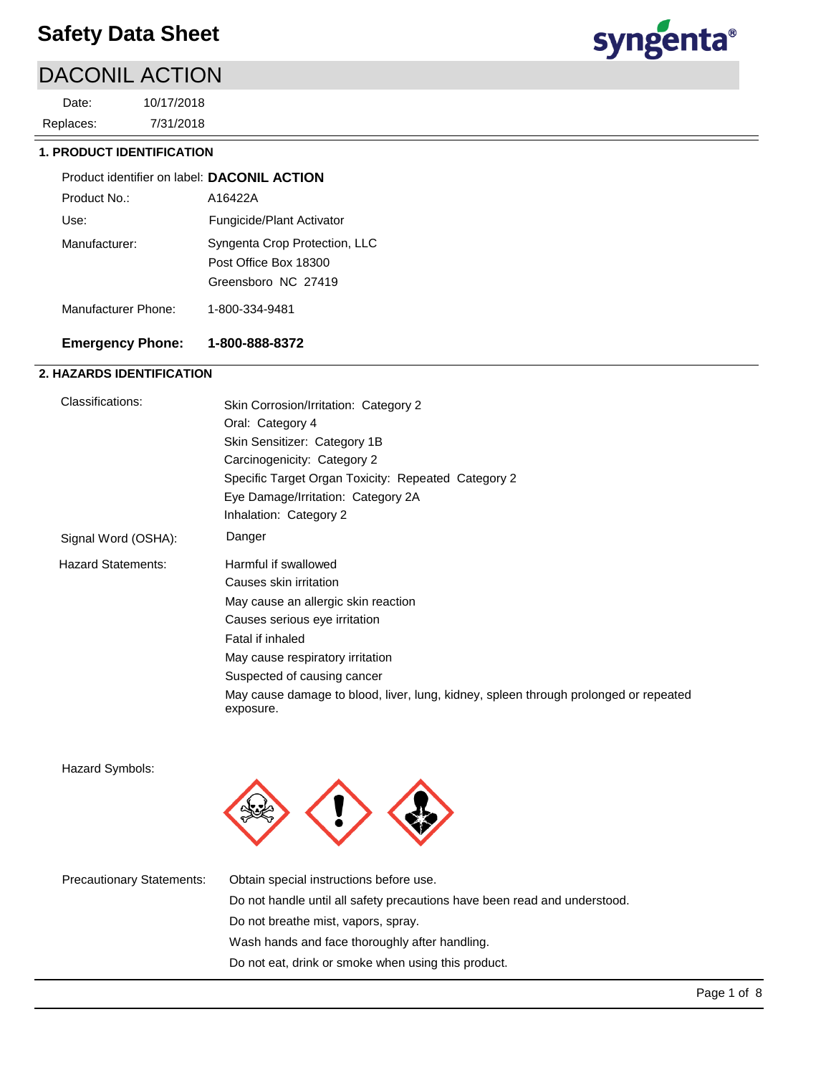# DACONIL ACTION

7/31/2018 10/17/2018 Replaces: Date:



# **1. PRODUCT IDENTIFICATION**

| Product identifier on label: DACONIL ACTION |                                                                               |
|---------------------------------------------|-------------------------------------------------------------------------------|
| Product No.:                                | A16422A                                                                       |
| Use:                                        | Fungicide/Plant Activator                                                     |
| Manufacturer:                               | Syngenta Crop Protection, LLC<br>Post Office Box 18300<br>Greensboro NC 27419 |
| Manufacturer Phone:                         | 1-800-334-9481                                                                |

# **Emergency Phone: 1-800-888-8372**

# **2. HAZARDS IDENTIFICATION**

| Classifications:          | Skin Corrosion/Irritation: Category 2                                                             |  |  |  |
|---------------------------|---------------------------------------------------------------------------------------------------|--|--|--|
|                           | Oral: Category 4                                                                                  |  |  |  |
|                           | Skin Sensitizer: Category 1B                                                                      |  |  |  |
|                           | Carcinogenicity: Category 2                                                                       |  |  |  |
|                           | Specific Target Organ Toxicity: Repeated Category 2                                               |  |  |  |
|                           | Eye Damage/Irritation: Category 2A                                                                |  |  |  |
|                           | Inhalation: Category 2                                                                            |  |  |  |
| Signal Word (OSHA):       | Danger                                                                                            |  |  |  |
| <b>Hazard Statements:</b> | Harmful if swallowed                                                                              |  |  |  |
|                           | Causes skin irritation                                                                            |  |  |  |
|                           | May cause an allergic skin reaction                                                               |  |  |  |
|                           | Causes serious eye irritation                                                                     |  |  |  |
|                           | Fatal if inhaled                                                                                  |  |  |  |
|                           | May cause respiratory irritation                                                                  |  |  |  |
|                           | Suspected of causing cancer                                                                       |  |  |  |
|                           | May cause damage to blood, liver, lung, kidney, spleen through prolonged or repeated<br>exposure. |  |  |  |
|                           |                                                                                                   |  |  |  |

Hazard Symbols:



| <b>Precautionary Statements:</b> | Obtain special instructions before use.                                   |  |
|----------------------------------|---------------------------------------------------------------------------|--|
|                                  | Do not handle until all safety precautions have been read and understood. |  |
|                                  | Do not breathe mist, vapors, spray.                                       |  |
|                                  | Wash hands and face thoroughly after handling.                            |  |
|                                  | Do not eat, drink or smoke when using this product.                       |  |
|                                  |                                                                           |  |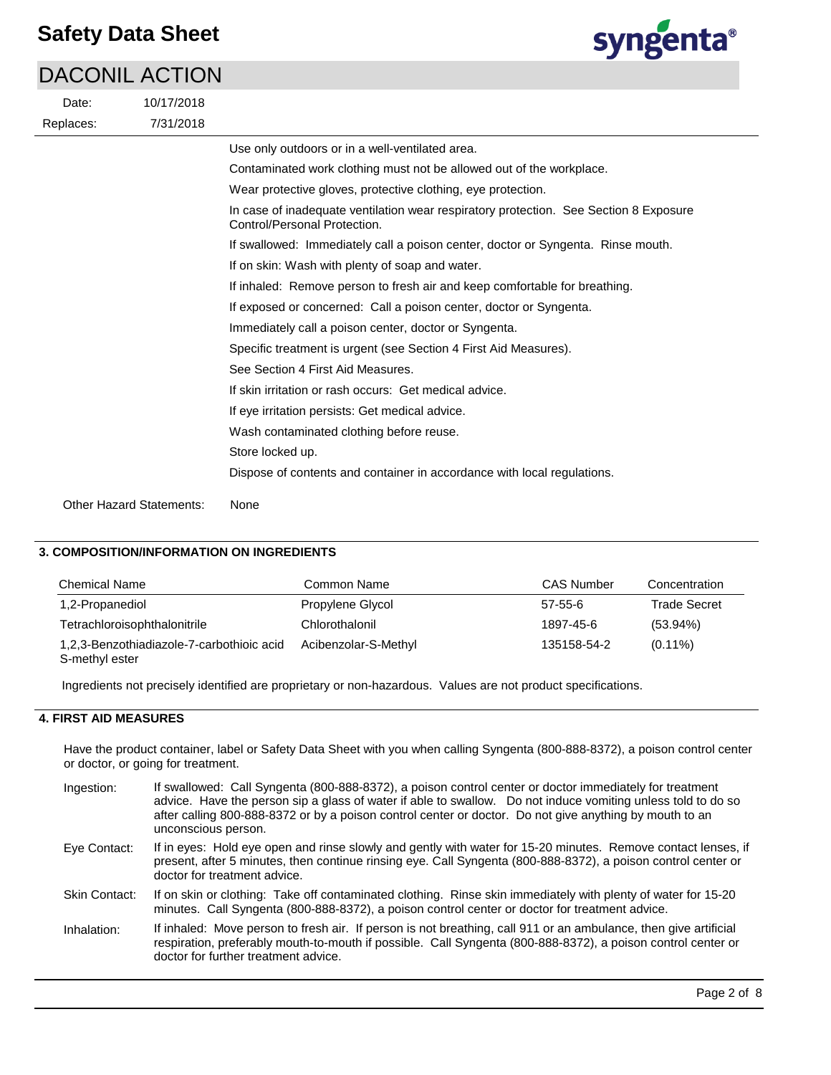# DACONIL ACTION



| Date:     | 10/17/2018               |                                                                                                                       |
|-----------|--------------------------|-----------------------------------------------------------------------------------------------------------------------|
| Replaces: | 7/31/2018                |                                                                                                                       |
|           |                          | Use only outdoors or in a well-ventilated area.                                                                       |
|           |                          | Contaminated work clothing must not be allowed out of the workplace.                                                  |
|           |                          | Wear protective gloves, protective clothing, eye protection.                                                          |
|           |                          | In case of inadequate ventilation wear respiratory protection. See Section 8 Exposure<br>Control/Personal Protection. |
|           |                          | If swallowed: Immediately call a poison center, doctor or Syngenta. Rinse mouth.                                      |
|           |                          | If on skin: Wash with plenty of soap and water.                                                                       |
|           |                          | If inhaled: Remove person to fresh air and keep comfortable for breathing.                                            |
|           |                          | If exposed or concerned: Call a poison center, doctor or Syngenta.                                                    |
|           |                          | Immediately call a poison center, doctor or Syngenta.                                                                 |
|           |                          | Specific treatment is urgent (see Section 4 First Aid Measures).                                                      |
|           |                          | See Section 4 First Aid Measures.                                                                                     |
|           |                          | If skin irritation or rash occurs: Get medical advice.                                                                |
|           |                          | If eye irritation persists: Get medical advice.                                                                       |
|           |                          | Wash contaminated clothing before reuse.                                                                              |
|           |                          | Store locked up.                                                                                                      |
|           |                          | Dispose of contents and container in accordance with local regulations.                                               |
|           | Other Hazard Statements: | None                                                                                                                  |

# **3. COMPOSITION/INFORMATION ON INGREDIENTS**

| <b>Chemical Name</b>                                        | Common Name          | <b>CAS Number</b> | Concentration       |
|-------------------------------------------------------------|----------------------|-------------------|---------------------|
| 1,2-Propanediol                                             | Propylene Glycol     | $57 - 55 - 6$     | <b>Trade Secret</b> |
| Tetrachloroisophthalonitrile                                | Chlorothalonil       | 1897-45-6         | $(53.94\%)$         |
| 1,2,3-Benzothiadiazole-7-carbothioic acid<br>S-methyl ester | Acibenzolar-S-Methyl | 135158-54-2       | $(0.11\%)$          |

Ingredients not precisely identified are proprietary or non-hazardous. Values are not product specifications.

# **4. FIRST AID MEASURES**

Have the product container, label or Safety Data Sheet with you when calling Syngenta (800-888-8372), a poison control center or doctor, or going for treatment.

| Ingestion:    | If swallowed: Call Syngenta (800-888-8372), a poison control center or doctor immediately for treatment<br>advice. Have the person sip a glass of water if able to swallow. Do not induce vomiting unless told to do so<br>after calling 800-888-8372 or by a poison control center or doctor. Do not give anything by mouth to an<br>unconscious person. |
|---------------|-----------------------------------------------------------------------------------------------------------------------------------------------------------------------------------------------------------------------------------------------------------------------------------------------------------------------------------------------------------|
| Eye Contact:  | If in eyes: Hold eye open and rinse slowly and gently with water for 15-20 minutes. Remove contact lenses, if<br>present, after 5 minutes, then continue rinsing eye. Call Syngenta (800-888-8372), a poison control center or<br>doctor for treatment advice.                                                                                            |
| Skin Contact: | If on skin or clothing: Take off contaminated clothing. Rinse skin immediately with plenty of water for 15-20<br>minutes. Call Syngenta (800-888-8372), a poison control center or doctor for treatment advice.                                                                                                                                           |
| Inhalation:   | If inhaled: Move person to fresh air. If person is not breathing, call 911 or an ambulance, then give artificial<br>respiration, preferably mouth-to-mouth if possible. Call Syngenta (800-888-8372), a poison control center or<br>doctor for further treatment advice.                                                                                  |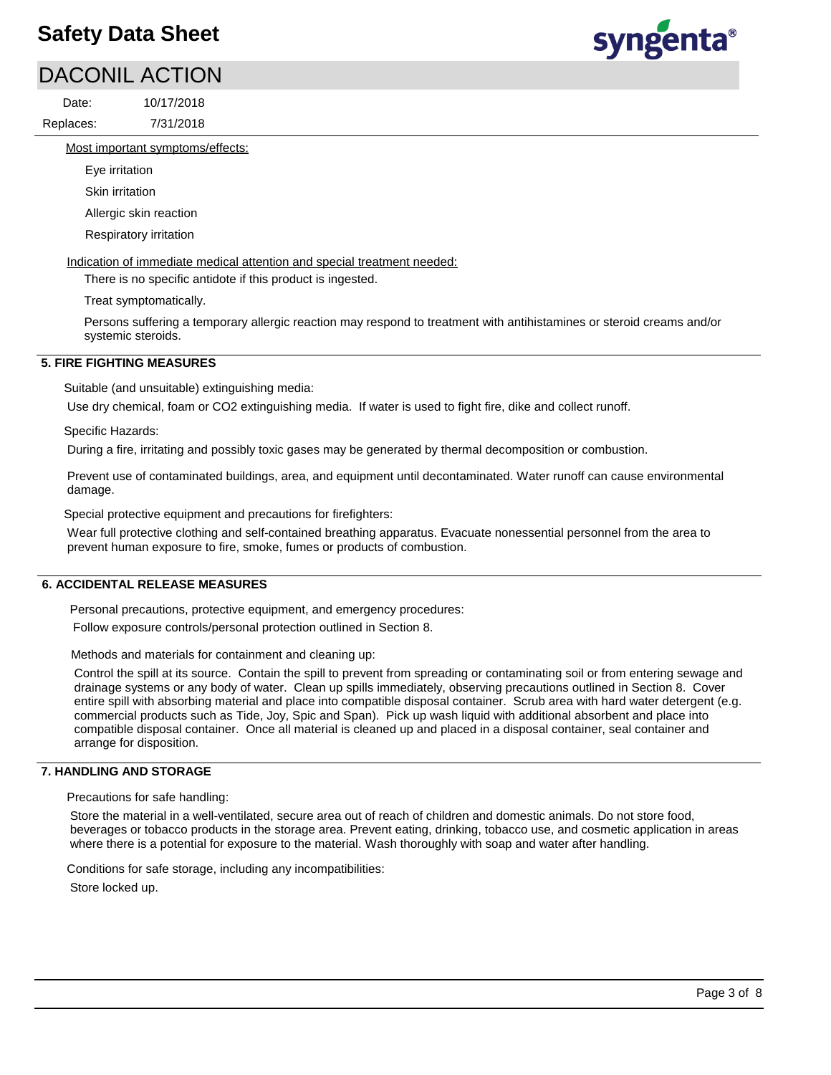# DACONIL ACTION

7/31/2018 10/17/2018 Replaces: Date:



Most important symptoms/effects:

Eye irritation

Skin irritation

Allergic skin reaction

Respiratory irritation

Indication of immediate medical attention and special treatment needed:

There is no specific antidote if this product is ingested.

Treat symptomatically.

Persons suffering a temporary allergic reaction may respond to treatment with antihistamines or steroid creams and/or systemic steroids.

# **5. FIRE FIGHTING MEASURES**

Suitable (and unsuitable) extinguishing media:

Use dry chemical, foam or CO2 extinguishing media. If water is used to fight fire, dike and collect runoff.

Specific Hazards:

During a fire, irritating and possibly toxic gases may be generated by thermal decomposition or combustion.

Prevent use of contaminated buildings, area, and equipment until decontaminated. Water runoff can cause environmental damage.

Special protective equipment and precautions for firefighters:

Wear full protective clothing and self-contained breathing apparatus. Evacuate nonessential personnel from the area to prevent human exposure to fire, smoke, fumes or products of combustion.

## **6. ACCIDENTAL RELEASE MEASURES**

Personal precautions, protective equipment, and emergency procedures:

Follow exposure controls/personal protection outlined in Section 8.

Methods and materials for containment and cleaning up:

Control the spill at its source. Contain the spill to prevent from spreading or contaminating soil or from entering sewage and drainage systems or any body of water. Clean up spills immediately, observing precautions outlined in Section 8. Cover entire spill with absorbing material and place into compatible disposal container. Scrub area with hard water detergent (e.g. commercial products such as Tide, Joy, Spic and Span). Pick up wash liquid with additional absorbent and place into compatible disposal container. Once all material is cleaned up and placed in a disposal container, seal container and arrange for disposition.

## **7. HANDLING AND STORAGE**

Precautions for safe handling:

Store the material in a well-ventilated, secure area out of reach of children and domestic animals. Do not store food, beverages or tobacco products in the storage area. Prevent eating, drinking, tobacco use, and cosmetic application in areas where there is a potential for exposure to the material. Wash thoroughly with soap and water after handling.

Conditions for safe storage, including any incompatibilities:

Store locked up.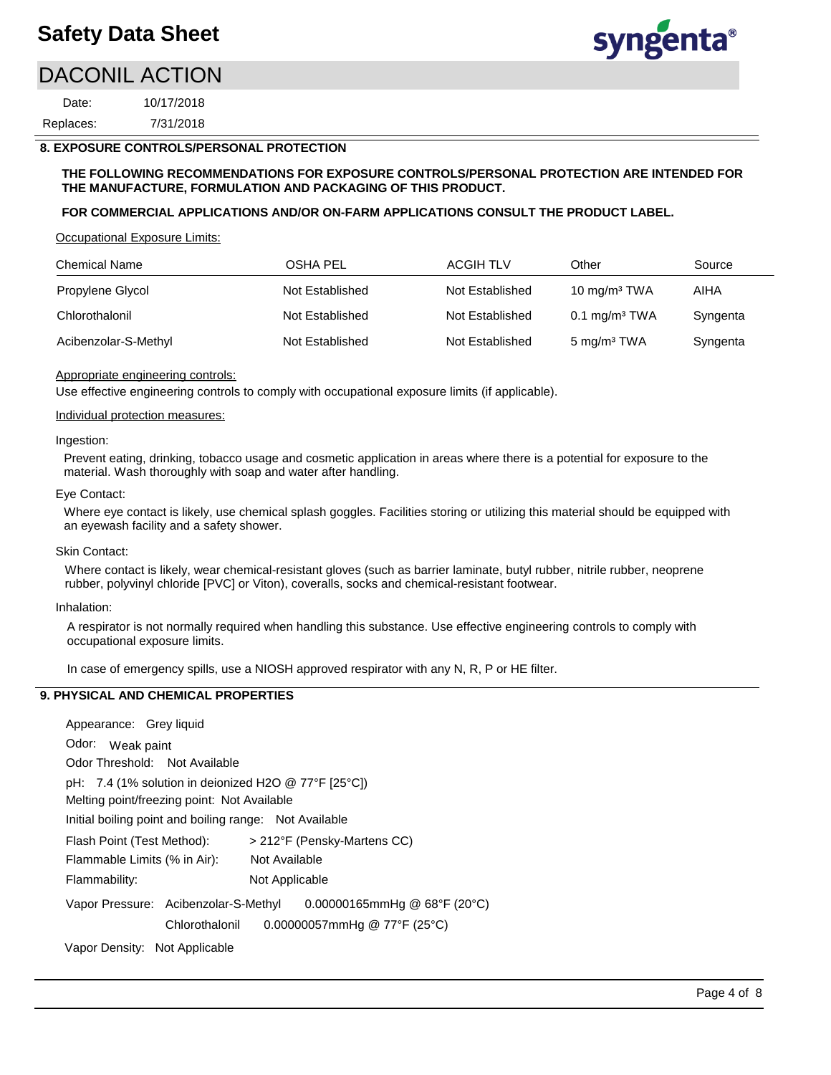# DACONIL ACTION

7/31/2018 10/17/2018 Replaces: Date:

# **8. EXPOSURE CONTROLS/PERSONAL PROTECTION**

## **THE FOLLOWING RECOMMENDATIONS FOR EXPOSURE CONTROLS/PERSONAL PROTECTION ARE INTENDED FOR THE MANUFACTURE, FORMULATION AND PACKAGING OF THIS PRODUCT.**

## **FOR COMMERCIAL APPLICATIONS AND/OR ON-FARM APPLICATIONS CONSULT THE PRODUCT LABEL.**

Occupational Exposure Limits:

| <b>Chemical Name</b> | OSHA PEL        | <b>ACGIH TLV</b> | Other                    | Source   |
|----------------------|-----------------|------------------|--------------------------|----------|
| Propylene Glycol     | Not Established | Not Established  | 10 mg/m $3$ TWA          | AIHA     |
| Chlorothalonil       | Not Established | Not Established  | $0.1 \text{ mg/m}^3$ TWA | Syngenta |
| Acibenzolar-S-Methyl | Not Established | Not Established  | 5 mg/m <sup>3</sup> TWA  | Syngenta |

## Appropriate engineering controls:

Use effective engineering controls to comply with occupational exposure limits (if applicable).

## Individual protection measures:

#### Ingestion:

Prevent eating, drinking, tobacco usage and cosmetic application in areas where there is a potential for exposure to the material. Wash thoroughly with soap and water after handling.

## Eye Contact:

Where eye contact is likely, use chemical splash goggles. Facilities storing or utilizing this material should be equipped with an eyewash facility and a safety shower.

## Skin Contact:

Where contact is likely, wear chemical-resistant gloves (such as barrier laminate, butyl rubber, nitrile rubber, neoprene rubber, polyvinyl chloride [PVC] or Viton), coveralls, socks and chemical-resistant footwear.

## Inhalation:

A respirator is not normally required when handling this substance. Use effective engineering controls to comply with occupational exposure limits.

In case of emergency spills, use a NIOSH approved respirator with any N, R, P or HE filter.

# **9. PHYSICAL AND CHEMICAL PROPERTIES**

Odor: Weak paint Appearance: Grey liquid Vapor Pressure: Acibenzolar-S-Methyl pH: 7.4 (1% solution in deionized H2O @ 77°F [25°C]) Initial boiling point and boiling range: Not Available Melting point/freezing point: Not Available Odor Threshold: Not Available Not Available Flammability: Not Applicable Flash Point (Test Method): > 212°F (Pensky-Martens CC) Flammable Limits (% in Air): Vapor Density: Not Applicable  $0.00000165$ mmHg @  $68^{\circ}$ F (20 $^{\circ}$ C) Chlorothalonil 0.00000057mmHg @ 77°F (25°C)

syngenta®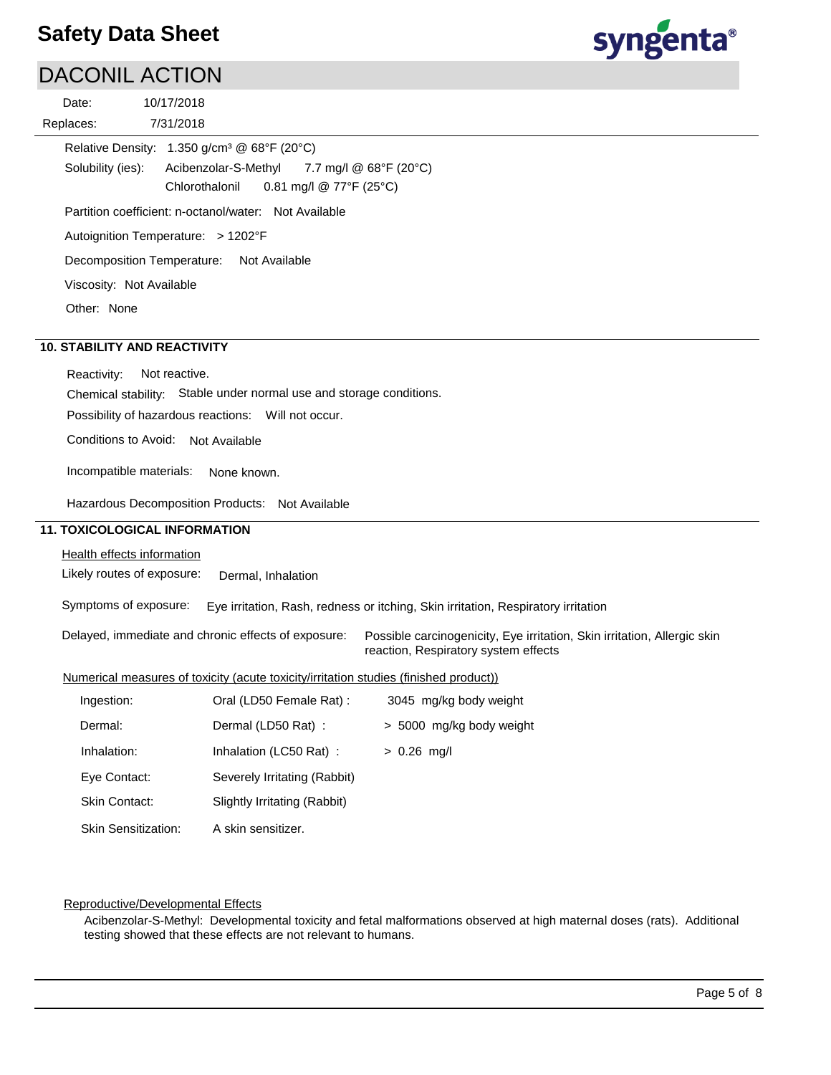# syngenta®

# DACONIL ACTION

| Date:     | 10/17/2018 |
|-----------|------------|
| Replaces: | 7/31/2018  |

Solubility (ies): Autoignition Temperature: > 1202°F Relative Density: 1.350 g/cm³ @ 68°F (20°C) Decomposition Temperature: Not Available Viscosity: Not Available Partition coefficient: n-octanol/water: Not Available Other: None Acibenzolar-S-Methyl 7.7 mg/l @ 68°F (20°C) Chlorothalonil 0.81 mg/l @ 77°F (25°C)

# **10. STABILITY AND REACTIVITY**

Reactivity: Not reactive.

Chemical stability: Stable under normal use and storage conditions.

Possibility of hazardous reactions: Will not occur.

Conditions to Avoid: Not Available

Incompatible materials: None known.

Hazardous Decomposition Products: Not Available

## **11. TOXICOLOGICAL INFORMATION**

## Health effects information

Likely routes of exposure: Dermal, Inhalation

Symptoms of exposure: Eye irritation, Rash, redness or itching, Skin irritation, Respiratory irritation

Delayed, immediate and chronic effects of exposure: Possible carcinogenicity, Eye irritation, Skin irritation, Allergic skin reaction, Respiratory system effects

## Numerical measures of toxicity (acute toxicity/irritation studies (finished product))

| Ingestion:                 | Oral (LD50 Female Rat) :     | 3045 mg/kg body weight   |
|----------------------------|------------------------------|--------------------------|
| Dermal:                    | Dermal (LD50 Rat):           | > 5000 mg/kg body weight |
| Inhalation:                | Inhalation (LC50 Rat):       | $> 0.26$ mg/l            |
| Eye Contact:               | Severely Irritating (Rabbit) |                          |
| Skin Contact:              | Slightly Irritating (Rabbit) |                          |
| <b>Skin Sensitization:</b> | A skin sensitizer.           |                          |

## Reproductive/Developmental Effects

Acibenzolar-S-Methyl: Developmental toxicity and fetal malformations observed at high maternal doses (rats). Additional testing showed that these effects are not relevant to humans.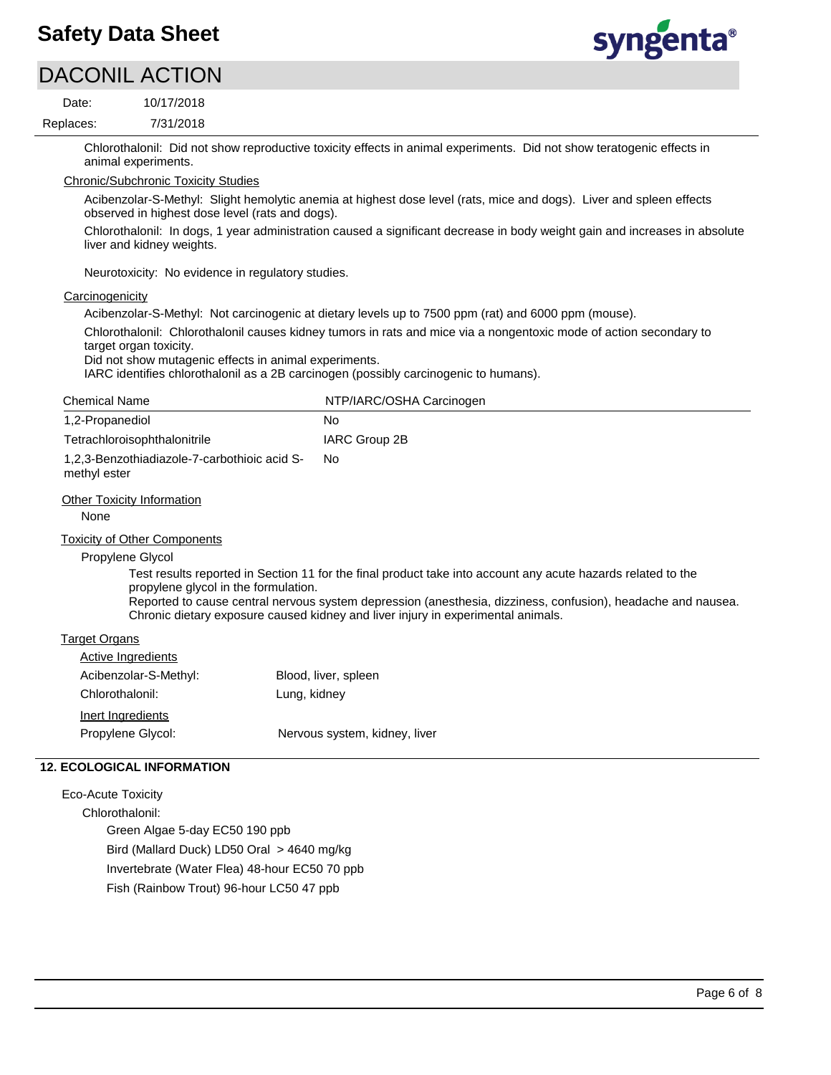

|                           | <b>DACONIL ACTION</b>                                                           |                                                                                                                                                                                                                                                                                                                  |
|---------------------------|---------------------------------------------------------------------------------|------------------------------------------------------------------------------------------------------------------------------------------------------------------------------------------------------------------------------------------------------------------------------------------------------------------|
| Date:                     | 10/17/2018                                                                      |                                                                                                                                                                                                                                                                                                                  |
| Replaces:                 | 7/31/2018                                                                       |                                                                                                                                                                                                                                                                                                                  |
|                           | animal experiments.                                                             | Chlorothalonil: Did not show reproductive toxicity effects in animal experiments. Did not show teratogenic effects in                                                                                                                                                                                            |
|                           | <b>Chronic/Subchronic Toxicity Studies</b>                                      |                                                                                                                                                                                                                                                                                                                  |
|                           | observed in highest dose level (rats and dogs).                                 | Acibenzolar-S-Methyl: Slight hemolytic anemia at highest dose level (rats, mice and dogs). Liver and spleen effects                                                                                                                                                                                              |
|                           | liver and kidney weights.                                                       | Chlorothalonil: In dogs, 1 year administration caused a significant decrease in body weight gain and increases in absolute                                                                                                                                                                                       |
|                           | Neurotoxicity: No evidence in regulatory studies.                               |                                                                                                                                                                                                                                                                                                                  |
| Carcinogenicity           |                                                                                 |                                                                                                                                                                                                                                                                                                                  |
|                           |                                                                                 | Acibenzolar-S-Methyl: Not carcinogenic at dietary levels up to 7500 ppm (rat) and 6000 ppm (mouse).                                                                                                                                                                                                              |
|                           | target organ toxicity.<br>Did not show mutagenic effects in animal experiments. | Chlorothalonil: Chlorothalonil causes kidney tumors in rats and mice via a nongentoxic mode of action secondary to<br>IARC identifies chlorothalonil as a 2B carcinogen (possibly carcinogenic to humans).                                                                                                       |
| <b>Chemical Name</b>      |                                                                                 | NTP/IARC/OSHA Carcinogen                                                                                                                                                                                                                                                                                         |
| 1,2-Propanediol           |                                                                                 | No                                                                                                                                                                                                                                                                                                               |
|                           | Tetrachloroisophthalonitrile                                                    | <b>IARC Group 2B</b>                                                                                                                                                                                                                                                                                             |
| methyl ester              | 1,2,3-Benzothiadiazole-7-carbothioic acid S-                                    | No.                                                                                                                                                                                                                                                                                                              |
| None                      | <b>Other Toxicity Information</b>                                               |                                                                                                                                                                                                                                                                                                                  |
| Propylene Glycol          | <b>Toxicity of Other Components</b><br>propylene glycol in the formulation.     | Test results reported in Section 11 for the final product take into account any acute hazards related to the<br>Reported to cause central nervous system depression (anesthesia, dizziness, confusion), headache and nausea.<br>Chronic dietary exposure caused kidney and liver injury in experimental animals. |
| <b>Target Organs</b>      |                                                                                 |                                                                                                                                                                                                                                                                                                                  |
| <b>Active Ingredients</b> |                                                                                 |                                                                                                                                                                                                                                                                                                                  |
|                           | Acibenzolar-S-Methyl:                                                           | Blood, liver, spleen                                                                                                                                                                                                                                                                                             |
| Chlorothalonil:           | Lung, kidney                                                                    |                                                                                                                                                                                                                                                                                                                  |
| Inert Ingredients         |                                                                                 |                                                                                                                                                                                                                                                                                                                  |
| Propylene Glycol:         |                                                                                 | Nervous system, kidney, liver                                                                                                                                                                                                                                                                                    |
|                           | <b>12. ECOLOGICAL INFORMATION</b>                                               |                                                                                                                                                                                                                                                                                                                  |
| <b>Eco-Acute Toxicity</b> |                                                                                 |                                                                                                                                                                                                                                                                                                                  |
| Chlorothalonil:           |                                                                                 |                                                                                                                                                                                                                                                                                                                  |

Green Algae 5-day EC50 190 ppb Bird (Mallard Duck) LD50 Oral > 4640 mg/kg Invertebrate (Water Flea) 48-hour EC50 70 ppb

Fish (Rainbow Trout) 96-hour LC50 47 ppb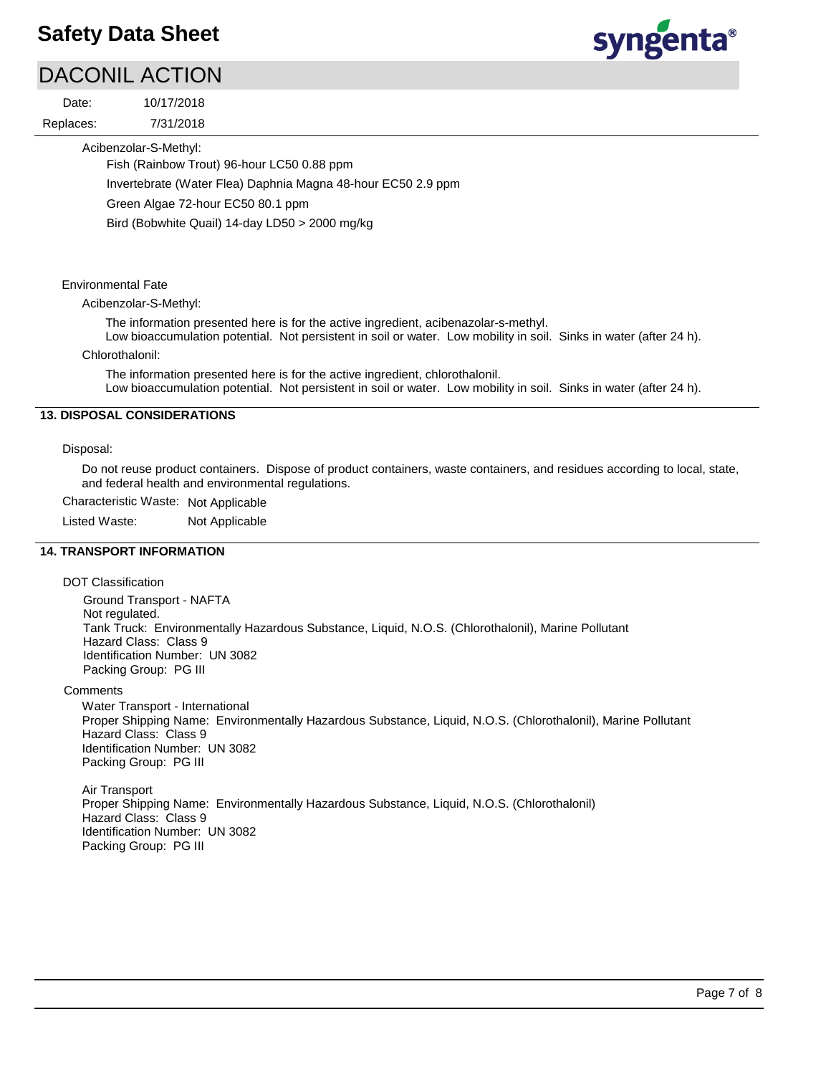# DACONIL ACTION

7/31/2018 10/17/2018 Replaces: Date:



Acibenzolar-S-Methyl:

Fish (Rainbow Trout) 96-hour LC50 0.88 ppm

Invertebrate (Water Flea) Daphnia Magna 48-hour EC50 2.9 ppm

Green Algae 72-hour EC50 80.1 ppm

Bird (Bobwhite Quail) 14-day LD50 > 2000 mg/kg

## Environmental Fate

Acibenzolar-S-Methyl:

The information presented here is for the active ingredient, acibenazolar-s-methyl.

Low bioaccumulation potential. Not persistent in soil or water. Low mobility in soil. Sinks in water (after 24 h).

Chlorothalonil:

The information presented here is for the active ingredient, chlorothalonil. Low bioaccumulation potential. Not persistent in soil or water. Low mobility in soil. Sinks in water (after 24 h).

## **13. DISPOSAL CONSIDERATIONS**

## Disposal:

Do not reuse product containers. Dispose of product containers, waste containers, and residues according to local, state, and federal health and environmental regulations.

Characteristic Waste: Not Applicable

Listed Waste: Not Applicable

# **14. TRANSPORT INFORMATION**

DOT Classification

Ground Transport - NAFTA Not regulated. Tank Truck: Environmentally Hazardous Substance, Liquid, N.O.S. (Chlorothalonil), Marine Pollutant Hazard Class: Class 9 Identification Number: UN 3082 Packing Group: PG III

**Comments** 

Water Transport - International Proper Shipping Name: Environmentally Hazardous Substance, Liquid, N.O.S. (Chlorothalonil), Marine Pollutant Hazard Class: Class 9 Identification Number: UN 3082 Packing Group: PG III

Air Transport Proper Shipping Name: Environmentally Hazardous Substance, Liquid, N.O.S. (Chlorothalonil) Hazard Class: Class 9 Identification Number: UN 3082 Packing Group: PG III